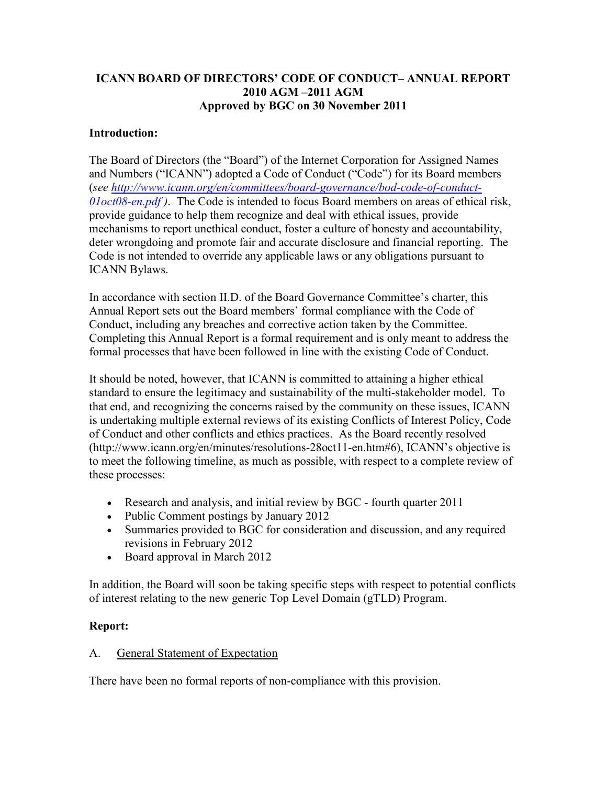### **ICANN BOARD OF DIRECTORS' CODE OF CONDUCT– ANNUAL REPORT 2010 AGM –2011 AGM Approved by BGC on 30 November 2011**

### **Introduction:**

The Board of Directors (the "Board") of the Internet Corporation for Assigned Names and Numbers ("ICANN") adopted a Code of Conduct ("Code") for its Board members (*see [http://www.icann.org/en/committees/board-governance/bod-code-of-conduct-](http://www.icann.org/en/committees/board-governance/bod-code-of-conduct-01oct08-en.pdf)[01oct08-en.pdf](http://www.icann.org/en/committees/board-governance/bod-code-of-conduct-01oct08-en.pdf) )*. The Code is intended to focus Board members on areas of ethical risk, provide guidance to help them recognize and deal with ethical issues, provide mechanisms to report unethical conduct, foster a culture of honesty and accountability, deter wrongdoing and promote fair and accurate disclosure and financial reporting. The Code is not intended to override any applicable laws or any obligations pursuant to ICANN Bylaws.

In accordance with section II.D. of the Board Governance Committee's charter, this Annual Report sets out the Board members' formal compliance with the Code of Conduct, including any breaches and corrective action taken by the Committee. Completing this Annual Report is a formal requirement and is only meant to address the formal processes that have been followed in line with the existing Code of Conduct.

It should be noted, however, that ICANN is committed to attaining a higher ethical standard to ensure the legitimacy and sustainability of the multi-stakeholder model. To that end, and recognizing the concerns raised by the community on these issues, ICANN is undertaking multiple external reviews of its existing Conflicts of Interest Policy, Code of Conduct and other conflicts and ethics practices. As the Board recently resolved (http://www.icann.org/en/minutes/resolutions-28oct11-en.htm#6), ICANN's objective is to meet the following timeline, as much as possible, with respect to a complete review of these processes:

- Research and analysis, and initial review by BGC fourth quarter 2011
- Public Comment postings by January 2012
- Summaries provided to BGC for consideration and discussion, and any required revisions in February 2012
- Board approval in March 2012

In addition, the Board will soon be taking specific steps with respect to potential conflicts of interest relating to the new generic Top Level Domain (gTLD) Program.

#### **Report:**

#### A. General Statement of Expectation

There have been no formal reports of non-compliance with this provision.